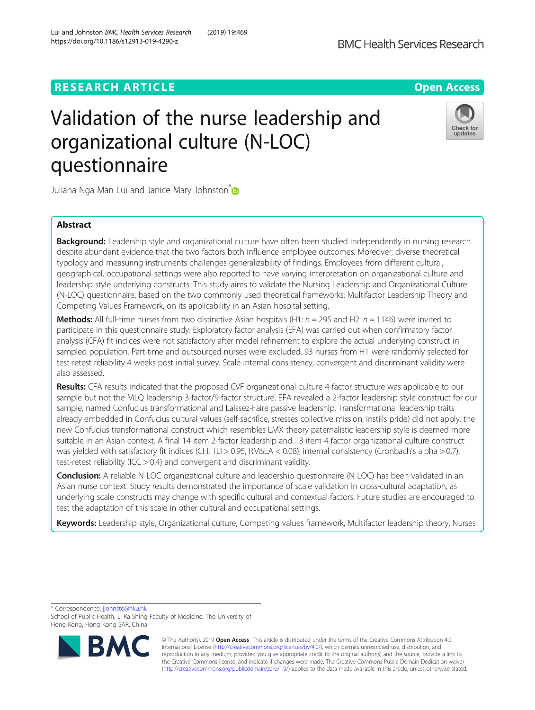# **RESEARCH ARTICLE Example 2018 CONSIDERING A RESEARCH ARTICLE**

# Validation of the nurse leadership and organizational culture (N-LOC) questionnaire

Juliana Nga Man Lui and Janice Mary Johnston<sup>\*</sup>

# Abstract

Background: Leadership style and organizational culture have often been studied independently in nursing research despite abundant evidence that the two factors both influence employee outcomes. Moreover, diverse theoretical typology and measuring instruments challenges generalizability of findings. Employees from different cultural, geographical, occupational settings were also reported to have varying interpretation on organizational culture and leadership style underlying constructs. This study aims to validate the Nursing Leadership and Organizational Culture (N-LOC) questionnaire, based on the two commonly used theoretical frameworks: Multifactor Leadership Theory and Competing Values Framework, on its applicability in an Asian hospital setting.

**Methods:** All full-time nurses from two distinctive Asian hospitals (H1:  $n = 295$  and H2:  $n = 1146$ ) were invited to participate in this questionnaire study. Exploratory factor analysis (EFA) was carried out when confirmatory factor analysis (CFA) fit indices were not satisfactory after model refinement to explore the actual underlying construct in sampled population. Part-time and outsourced nurses were excluded. 93 nurses from H1 were randomly selected for test-retest reliability 4 weeks post initial survey. Scale internal consistency, convergent and discriminant validity were also assessed.

Results: CFA results indicated that the proposed CVF organizational culture 4-factor structure was applicable to our sample but not the MLQ leadership 3-factor/9-factor structure. EFA revealed a 2-factor leadership style construct for our sample, named Confucius transformational and Laissez-Faire passive leadership. Transformational leadership traits already embedded in Confucius cultural values (self-sacrifice, stresses collective mission, instills pride) did not apply, the new Confucius transformational construct which resembles LMX theory paternalistic leadership style is deemed more suitable in an Asian context. A final 14-item 2-factor leadership and 13-item 4-factor organizational culture construct was yielded with satisfactory fit indices (CFI, TLI > 0.95, RMSEA < 0.08), internal consistency (Cronbach's alpha >0.7), test-retest reliability (ICC > 0.4) and convergent and discriminant validity.

**Conclusion:** A reliable N-LOC organizational culture and leadership questionnaire (N-LOC) has been validated in an Asian nurse context. Study results demonstrated the importance of scale validation in cross-cultural adaptation, as underlying scale constructs may change with specific cultural and contextual factors. Future studies are encouraged to test the adaptation of this scale in other cultural and occupational settings.

Keywords: Leadership style, Organizational culture, Competing values framework, Multifactor leadership theory, Nurses

\* Correspondence: [jjohnsto@hku.hk](mailto:jjohnsto@hku.hk)

School of Public Health, Li Ka Shing Faculty of Medicine, The University of Hong Kong, Hong Kong SAR, China



BA





Lui and Johnston BMC Health Services Research (2019) 19:469 https://doi.org/10.1186/s12913-019-4290-z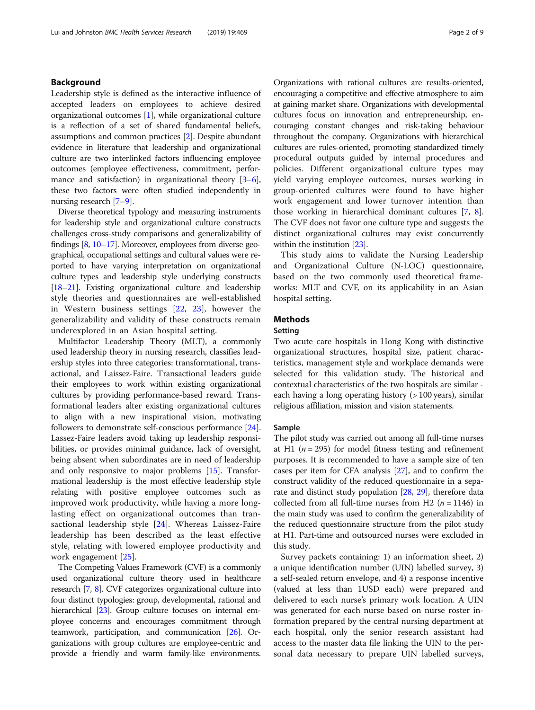# Background

Leadership style is defined as the interactive influence of accepted leaders on employees to achieve desired organizational outcomes [\[1\]](#page-8-0), while organizational culture is a reflection of a set of shared fundamental beliefs, assumptions and common practices [\[2\]](#page-8-0). Despite abundant evidence in literature that leadership and organizational culture are two interlinked factors influencing employee outcomes (employee effectiveness, commitment, perfor-mance and satisfaction) in organizational theory [[3](#page-8-0)–[6](#page-8-0)], these two factors were often studied independently in nursing research [[7](#page-8-0)–[9](#page-8-0)].

Diverse theoretical typology and measuring instruments for leadership style and organizational culture constructs challenges cross-study comparisons and generalizability of findings [[8](#page-8-0), [10](#page-8-0)–[17\]](#page-8-0). Moreover, employees from diverse geographical, occupational settings and cultural values were reported to have varying interpretation on organizational culture types and leadership style underlying constructs [[18](#page-8-0)–[21](#page-8-0)]. Existing organizational culture and leadership style theories and questionnaires are well-established in Western business settings [[22,](#page-8-0) [23](#page-8-0)], however the generalizability and validity of these constructs remain underexplored in an Asian hospital setting.

Multifactor Leadership Theory (MLT), a commonly used leadership theory in nursing research, classifies leadership styles into three categories: transformational, transactional, and Laissez-Faire. Transactional leaders guide their employees to work within existing organizational cultures by providing performance-based reward. Transformational leaders alter existing organizational cultures to align with a new inspirational vision, motivating followers to demonstrate self-conscious performance [[24](#page-8-0)]. Lassez-Faire leaders avoid taking up leadership responsibilities, or provides minimal guidance, lack of oversight, being absent when subordinates are in need of leadership and only responsive to major problems [[15](#page-8-0)]. Transformational leadership is the most effective leadership style relating with positive employee outcomes such as improved work productivity, while having a more longlasting effect on organizational outcomes than transactional leadership style [[24](#page-8-0)]. Whereas Laissez-Faire leadership has been described as the least effective style, relating with lowered employee productivity and work engagement [[25\]](#page-8-0).

The Competing Values Framework (CVF) is a commonly used organizational culture theory used in healthcare research [[7](#page-8-0), [8](#page-8-0)]. CVF categorizes organizational culture into four distinct typologies: group, developmental, rational and hierarchical [\[23](#page-8-0)]. Group culture focuses on internal employee concerns and encourages commitment through teamwork, participation, and communication [\[26\]](#page-8-0). Organizations with group cultures are employee-centric and provide a friendly and warm family-like environments.

Organizations with rational cultures are results-oriented, encouraging a competitive and effective atmosphere to aim at gaining market share. Organizations with developmental cultures focus on innovation and entrepreneurship, encouraging constant changes and risk-taking behaviour throughout the company. Organizations with hierarchical cultures are rules-oriented, promoting standardized timely procedural outputs guided by internal procedures and policies. Different organizational culture types may yield varying employee outcomes, nurses working in group-oriented cultures were found to have higher work engagement and lower turnover intention than those working in hierarchical dominant cultures [[7](#page-8-0), [8](#page-8-0)]. The CVF does not favor one culture type and suggests the distinct organizational cultures may exist concurrently within the institution [\[23\]](#page-8-0).

This study aims to validate the Nursing Leadership and Organizational Culture (N-LOC) questionnaire, based on the two commonly used theoretical frameworks: MLT and CVF, on its applicability in an Asian hospital setting.

# Methods

# Setting

Two acute care hospitals in Hong Kong with distinctive organizational structures, hospital size, patient characteristics, management style and workplace demands were selected for this validation study. The historical and contextual characteristics of the two hospitals are similar each having a long operating history (> 100 years), similar religious affiliation, mission and vision statements.

#### Sample

The pilot study was carried out among all full-time nurses at H1 ( $n = 295$ ) for model fitness testing and refinement purposes. It is recommended to have a sample size of ten cases per item for CFA analysis [[27](#page-8-0)], and to confirm the construct validity of the reduced questionnaire in a separate and distinct study population [[28,](#page-8-0) [29\]](#page-8-0), therefore data collected from all full-time nurses from H2 ( $n = 1146$ ) in the main study was used to confirm the generalizability of the reduced questionnaire structure from the pilot study at H1. Part-time and outsourced nurses were excluded in this study.

Survey packets containing: 1) an information sheet, 2) a unique identification number (UIN) labelled survey, 3) a self-sealed return envelope, and 4) a response incentive (valued at less than 1USD each) were prepared and delivered to each nurse's primary work location. A UIN was generated for each nurse based on nurse roster information prepared by the central nursing department at each hospital, only the senior research assistant had access to the master data file linking the UIN to the personal data necessary to prepare UIN labelled surveys,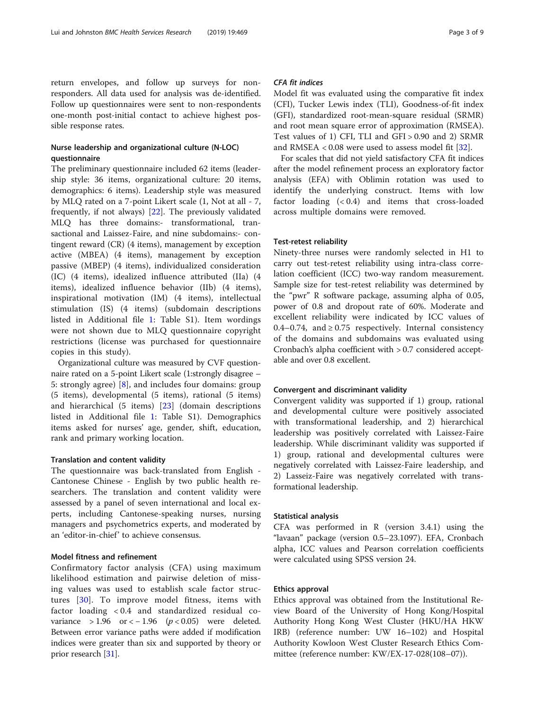return envelopes, and follow up surveys for nonresponders. All data used for analysis was de-identified. Follow up questionnaires were sent to non-respondents one-month post-initial contact to achieve highest possible response rates.

# Nurse leadership and organizational culture (N-LOC) questionnaire

The preliminary questionnaire included 62 items (leadership style: 36 items, organizational culture: 20 items, demographics: 6 items). Leadership style was measured by MLQ rated on a 7-point Likert scale (1, Not at all - 7, frequently, if not always) [[22\]](#page-8-0). The previously validated MLQ has three domains:- transformational, transactional and Laissez-Faire, and nine subdomains:- contingent reward (CR) (4 items), management by exception active (MBEA) (4 items), management by exception passive (MBEP) (4 items), individualized consideration (IC) (4 items), idealized influence attributed (IIa) (4 items), idealized influence behavior (IIb) (4 items), inspirational motivation (IM) (4 items), intellectual stimulation (IS) (4 items) (subdomain descriptions listed in Additional file [1:](#page-7-0) Table S1). Item wordings were not shown due to MLQ questionnaire copyright restrictions (license was purchased for questionnaire copies in this study).

Organizational culture was measured by CVF questionnaire rated on a 5-point Likert scale (1:strongly disagree – 5: strongly agree) [\[8](#page-8-0)], and includes four domains: group (5 items), developmental (5 items), rational (5 items) and hierarchical (5 items) [[23\]](#page-8-0) (domain descriptions listed in Additional file [1:](#page-7-0) Table S1). Demographics items asked for nurses' age, gender, shift, education, rank and primary working location.

# Translation and content validity

The questionnaire was back-translated from English - Cantonese Chinese - English by two public health researchers. The translation and content validity were assessed by a panel of seven international and local experts, including Cantonese-speaking nurses, nursing managers and psychometrics experts, and moderated by an 'editor-in-chief' to achieve consensus.

# Model fitness and refinement

Confirmatory factor analysis (CFA) using maximum likelihood estimation and pairwise deletion of missing values was used to establish scale factor structures [\[30](#page-8-0)]. To improve model fitness, items with factor loading < 0.4 and standardized residual covariance > 1.96 or <  $-1.96$  ( $p < 0.05$ ) were deleted. Between error variance paths were added if modification indices were greater than six and supported by theory or prior research [\[31\]](#page-8-0).

# CFA fit indices

Model fit was evaluated using the comparative fit index (CFI), Tucker Lewis index (TLI), Goodness-of-fit index (GFI), standardized root-mean-square residual (SRMR) and root mean square error of approximation (RMSEA). Test values of 1) CFI, TLI and GFI > 0.90 and 2) SRMR and RMSEA  $< 0.08$  were used to assess model fit [[32\]](#page-8-0).

For scales that did not yield satisfactory CFA fit indices after the model refinement process an exploratory factor analysis (EFA) with Oblimin rotation was used to identify the underlying construct. Items with low factor loading  $( $0.4$ )$  and items that cross-loaded across multiple domains were removed.

#### Test-retest reliability

Ninety-three nurses were randomly selected in H1 to carry out test-retest reliability using intra-class correlation coefficient (ICC) two-way random measurement. Sample size for test-retest reliability was determined by the "pwr" R software package, assuming alpha of 0.05, power of 0.8 and dropout rate of 60%. Moderate and excellent reliability were indicated by ICC values of 0.4–0.74, and  $\geq$  0.75 respectively. Internal consistency of the domains and subdomains was evaluated using Cronbach's alpha coefficient with > 0.7 considered acceptable and over 0.8 excellent.

#### Convergent and discriminant validity

Convergent validity was supported if 1) group, rational and developmental culture were positively associated with transformational leadership, and 2) hierarchical leadership was positively correlated with Laissez-Faire leadership. While discriminant validity was supported if 1) group, rational and developmental cultures were negatively correlated with Laissez-Faire leadership, and 2) Lasseiz-Faire was negatively correlated with transformational leadership.

#### Statistical analysis

CFA was performed in R (version 3.4.1) using the "lavaan" package (version 0.5–23.1097). EFA, Cronbach alpha, ICC values and Pearson correlation coefficients were calculated using SPSS version 24.

#### Ethics approval

Ethics approval was obtained from the Institutional Review Board of the University of Hong Kong/Hospital Authority Hong Kong West Cluster (HKU/HA HKW IRB) (reference number: UW 16–102) and Hospital Authority Kowloon West Cluster Research Ethics Committee (reference number: KW/EX-17-028(108–07)).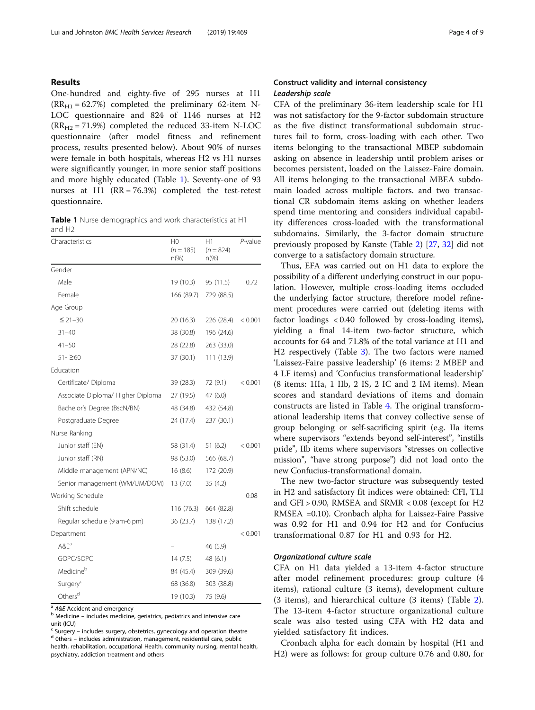# Results

One-hundred and eighty-five of 295 nurses at H1  $(RR_{H1} = 62.7%)$  completed the preliminary 62-item N-LOC questionnaire and 824 of 1146 nurses at H2  $(RR_{H2} = 71.9\%)$  completed the reduced 33-item N-LOC questionnaire (after model fitness and refinement process, results presented below). About 90% of nurses were female in both hospitals, whereas H2 vs H1 nurses were significantly younger, in more senior staff positions and more highly educated (Table 1). Seventy-one of 93 nurses at H1 (RR = 76.3%) completed the test-retest questionnaire.

Table 1 Nurse demographics and work characteristics at H1 and H2

| Characteristics                   | H <sub>0</sub><br>$(n = 185)$<br>n(%) | H1<br>$(n = 824)$<br>$n\frac{1}{2}$ | P-value |
|-----------------------------------|---------------------------------------|-------------------------------------|---------|
| Gender                            |                                       |                                     |         |
| Male                              | 19 (10.3)                             | 95 (11.5)                           | 0.72    |
| Female                            | 166 (89.7)                            | 729 (88.5)                          |         |
| Age Group                         |                                       |                                     |         |
| $\leq$ 21-30                      | 20(16.3)                              | 226 (28.4)                          | < 0.001 |
| $31 - 40$                         | 38 (30.8)                             | 196 (24.6)                          |         |
| $41 - 50$                         | 28 (22.8)                             | 263 (33.0)                          |         |
| $51 - 260$                        | 37(30.1)                              | 111 (13.9)                          |         |
| Education                         |                                       |                                     |         |
| Certificate/ Diploma              | 39 (28.3)                             | 72 (9.1)                            | < 0.001 |
| Associate Diploma/ Higher Diploma | 27 (19.5)                             | 47 (6.0)                            |         |
| Bachelor's Degree (BscN/BN)       | 48 (34.8)                             | 432 (54.8)                          |         |
| Postgraduate Degree               | 24 (17.4)                             | 237 (30.1)                          |         |
| Nurse Ranking                     |                                       |                                     |         |
| Junior staff (EN)                 | 58 (31.4)                             | 51(6.2)                             | < 0.001 |
| Junior staff (RN)                 | 98 (53.0)                             | 566 (68.7)                          |         |
| Middle management (APN/NC)        | 16(8.6)                               | 172 (20.9)                          |         |
| Senior management (WM/UM/DOM)     | 13(7.0)                               | 35(4.2)                             |         |
| Working Schedule                  |                                       |                                     | 0.08    |
| Shift schedule                    | 116 (76.3)                            | 664 (82.8)                          |         |
| Regular schedule (9 am-6 pm)      | 36 (23.7)                             | 138 (17.2)                          |         |
| Department                        |                                       |                                     | < 0.001 |
| $A\&F^a$                          |                                       | 46 (5.9)                            |         |
| GOPC/SOPC                         | 14(7.5)                               | 48 (6.1)                            |         |
| Medicine <sup>b</sup>             | 84 (45.4)                             | 309 (39.6)                          |         |
| Surgery <sup>c</sup>              | 68 (36.8)                             | 303 (38.8)                          |         |
| Others <sup>d</sup>               | 19 (10.3)                             | 75 (9.6)                            |         |

 $\frac{a}{b}$  A&E Accident and emergency<br><sup>b</sup> Medicine – includes medicine, geriatrics, pediatrics and intensive care unit (ICU)

<sup>c</sup> Surgery – includes surgery, obstetrics, gynecology and operation theatre d 0thers – includes administration, management, residential care, public health, rehabilitation, occupational Health, community nursing, mental health, psychiatry, addiction treatment and others

# Construct validity and internal consistency Leadership scale

CFA of the preliminary 36-item leadership scale for H1 was not satisfactory for the 9-factor subdomain structure as the five distinct transformational subdomain structures fail to form, cross-loading with each other. Two items belonging to the transactional MBEP subdomain asking on absence in leadership until problem arises or becomes persistent, loaded on the Laissez-Faire domain. All items belonging to the transactional MBEA subdomain loaded across multiple factors. and two transactional CR subdomain items asking on whether leaders spend time mentoring and considers individual capability differences cross-loaded with the transformational subdomains. Similarly, the 3-factor domain structure previously proposed by Kanste (Table [2\)](#page-4-0) [\[27](#page-8-0), [32](#page-8-0)] did not converge to a satisfactory domain structure.

Thus, EFA was carried out on H1 data to explore the possibility of a different underlying construct in our population. However, multiple cross-loading items occluded the underlying factor structure, therefore model refinement procedures were carried out (deleting items with factor loadings < 0.40 followed by cross-loading items), yielding a final 14-item two-factor structure, which accounts for 64 and 71.8% of the total variance at H1 and H2 respectively (Table [3\)](#page-4-0). The two factors were named 'Laissez-Faire passive leadership' (6 items: 2 MBEP and 4 LF items) and 'Confucius transformational leadership' (8 items: 1IIa, 1 IIb, 2 IS, 2 IC and 2 IM items). Mean scores and standard deviations of items and domain constructs are listed in Table [4](#page-5-0). The original transformational leadership items that convey collective sense of group belonging or self-sacrificing spirit (e.g. IIa items where supervisors "extends beyond self-interest", "instills pride", IIb items where supervisors "stresses on collective mission", "have strong purpose") did not load onto the new Confucius-transformational domain.

The new two-factor structure was subsequently tested in H2 and satisfactory fit indices were obtained: CFI, TLI and GFI > 0.90, RMSEA and SRMR < 0.08 (except for H2 RMSEA =0.10). Cronbach alpha for Laissez-Faire Passive was 0.92 for H1 and 0.94 for H2 and for Confucius transformational 0.87 for H1 and 0.93 for H2.

#### Organizational culture scale

CFA on H1 data yielded a 13-item 4-factor structure after model refinement procedures: group culture (4 items), rational culture (3 items), development culture (3 items), and hierarchical culture (3 items) (Table [2](#page-4-0)). The 13-item 4-factor structure organizational culture scale was also tested using CFA with H2 data and yielded satisfactory fit indices.

Cronbach alpha for each domain by hospital (H1 and H2) were as follows: for group culture 0.76 and 0.80, for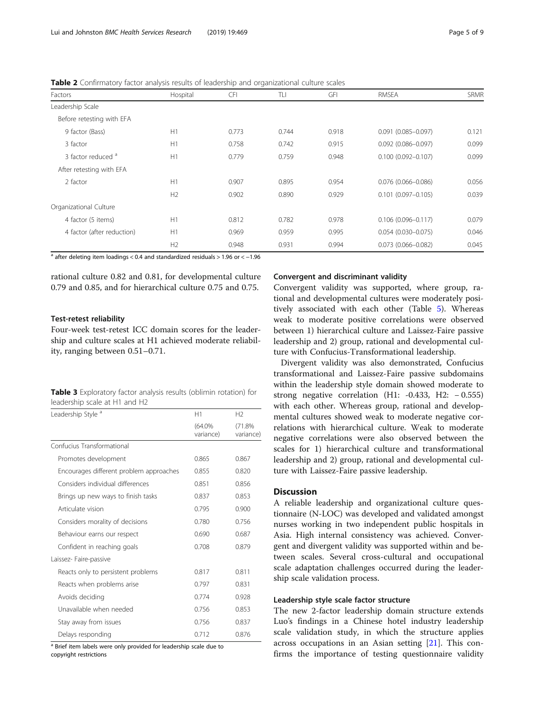<span id="page-4-0"></span>Table 2 Confirmatory factor analysis results of leadership and organizational culture scales

| Factors                       | Hospital       | <b>CFI</b> | TLI   | GFI   | <b>RMSEA</b>           | <b>SRMR</b> |
|-------------------------------|----------------|------------|-------|-------|------------------------|-------------|
| Leadership Scale              |                |            |       |       |                        |             |
| Before retesting with EFA     |                |            |       |       |                        |             |
| 9 factor (Bass)               | H1             | 0.773      | 0.744 | 0.918 | $0.091$ (0.085-0.097)  | 0.121       |
| 3 factor                      | H1             | 0.758      | 0.742 | 0.915 | $0.092$ (0.086-0.097)  | 0.099       |
| 3 factor reduced <sup>a</sup> | H1             | 0.779      | 0.759 | 0.948 | $0.100(0.092 - 0.107)$ | 0.099       |
| After retesting with EFA      |                |            |       |       |                        |             |
| 2 factor                      | H1             | 0.907      | 0.895 | 0.954 | $0.076(0.066 - 0.086)$ | 0.056       |
|                               | H <sub>2</sub> | 0.902      | 0.890 | 0.929 | $0.101$ (0.097-0.105)  | 0.039       |
| Organizational Culture        |                |            |       |       |                        |             |
| 4 factor (5 items)            | H1             | 0.812      | 0.782 | 0.978 | $0.106(0.096 - 0.117)$ | 0.079       |
| 4 factor (after reduction)    | H1             | 0.969      | 0.959 | 0.995 | $0.054(0.030 - 0.075)$ | 0.046       |
|                               | H <sub>2</sub> | 0.948      | 0.931 | 0.994 | $0.073(0.066 - 0.082)$ | 0.045       |

<sup>a</sup> after deleting item loadings < 0.4 and standardized residuals > 1.96 or < −1.96

rational culture 0.82 and 0.81, for developmental culture 0.79 and 0.85, and for hierarchical culture 0.75 and 0.75.

#### Test-retest reliability

Four-week test-retest ICC domain scores for the leadership and culture scales at H1 achieved moderate reliability, ranging between 0.51–0.71.

| <b>Table 3</b> Exploratory factor analysis results (oblimin rotation) for |  |  |  |
|---------------------------------------------------------------------------|--|--|--|
| leadership scale at H1 and H2                                             |  |  |  |

| Leadership Style <sup>a</sup>           | H1                  | H <sub>2</sub>      |
|-----------------------------------------|---------------------|---------------------|
|                                         | (64.0%<br>variance) | (71.8%<br>variance) |
| Confucius Transformational              |                     |                     |
| Promotes development                    | 0.865               | 0.867               |
| Encourages different problem approaches | 0.855               | 0.820               |
| Considers individual differences        | 0.851               | 0.856               |
| Brings up new ways to finish tasks      | 0.837               | 0.853               |
| Articulate vision                       | 0.795               | 0.900               |
| Considers morality of decisions         | 0.780               | 0.756               |
| Behaviour earns our respect             | 0.690               | 0.687               |
| Confident in reaching goals             | 0.708               | 0.879               |
| Laissez- Faire-passive                  |                     |                     |
| Reacts only to persistent problems      | 0.817               | 0.811               |
| Reacts when problems arise              | 0.797               | 0.831               |
| Avoids deciding                         | 0.774               | 0.928               |
| Unavailable when needed                 | 0.756               | 0.853               |
| Stay away from issues                   | 0.756               | 0.837               |
| Delays responding                       | 0.712               | 0.876               |

<sup>a</sup> Brief item labels were only provided for leadership scale due to

copyright restrictions

#### Convergent and discriminant validity

Convergent validity was supported, where group, rational and developmental cultures were moderately positively associated with each other (Table [5](#page-6-0)). Whereas weak to moderate positive correlations were observed between 1) hierarchical culture and Laissez-Faire passive leadership and 2) group, rational and developmental culture with Confucius-Transformational leadership.

Divergent validity was also demonstrated, Confucius transformational and Laissez-Faire passive subdomains within the leadership style domain showed moderate to strong negative correlation (H1: -0.433, H2: − 0.555) with each other. Whereas group, rational and developmental cultures showed weak to moderate negative correlations with hierarchical culture. Weak to moderate negative correlations were also observed between the scales for 1) hierarchical culture and transformational leadership and 2) group, rational and developmental culture with Laissez-Faire passive leadership.

## **Discussion**

A reliable leadership and organizational culture questionnaire (N-LOC) was developed and validated amongst nurses working in two independent public hospitals in Asia. High internal consistency was achieved. Convergent and divergent validity was supported within and between scales. Several cross-cultural and occupational scale adaptation challenges occurred during the leadership scale validation process.

### Leadership style scale factor structure

The new 2-factor leadership domain structure extends Luo's findings in a Chinese hotel industry leadership scale validation study, in which the structure applies across occupations in an Asian setting [[21\]](#page-8-0). This confirms the importance of testing questionnaire validity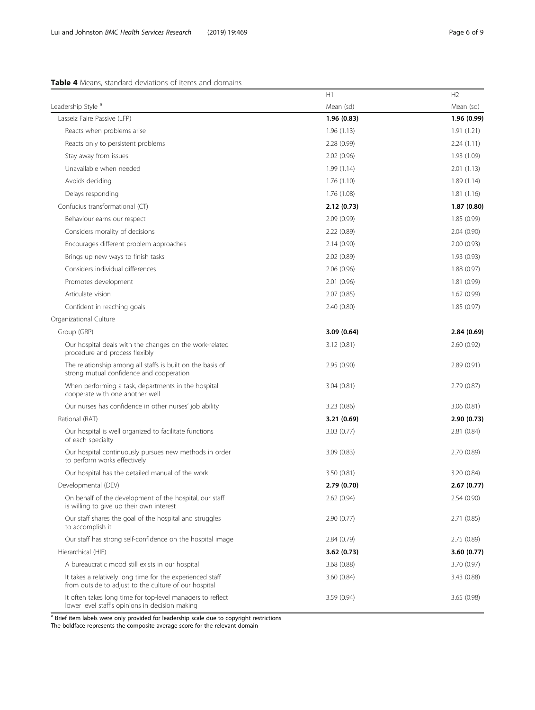# <span id="page-5-0"></span>Table 4 Means, standard deviations of items and domains

|                                                                                                                    | H1          | H <sub>2</sub> |
|--------------------------------------------------------------------------------------------------------------------|-------------|----------------|
| Leadership Style <sup>a</sup>                                                                                      | Mean (sd)   | Mean (sd)      |
| Lasseiz Faire Passive (LFP)                                                                                        | 1.96(0.83)  | 1.96(0.99)     |
| Reacts when problems arise                                                                                         | 1.96(1.13)  | 1.91(1.21)     |
| Reacts only to persistent problems                                                                                 | 2.28(0.99)  | 2.24(1.11)     |
| Stay away from issues                                                                                              | 2.02(0.96)  | 1.93(1.09)     |
| Unavailable when needed                                                                                            | 1.99(1.14)  | 2.01(1.13)     |
| Avoids deciding                                                                                                    | 1.76(1.10)  | 1.89(1.14)     |
| Delays responding                                                                                                  | 1.76 (1.08) | 1.81(1.16)     |
| Confucius transformational (CT)                                                                                    | 2.12(0.73)  | 1.87(0.80)     |
| Behaviour earns our respect                                                                                        | 2.09(0.99)  | 1.85(0.99)     |
| Considers morality of decisions                                                                                    | 2.22(0.89)  | 2.04(0.90)     |
| Encourages different problem approaches                                                                            | 2.14(0.90)  | 2.00(0.93)     |
| Brings up new ways to finish tasks                                                                                 | 2.02(0.89)  | 1.93(0.93)     |
| Considers individual differences                                                                                   | 2.06(0.96)  | 1.88(0.97)     |
| Promotes development                                                                                               | 2.01(0.96)  | 1.81(0.99)     |
| Articulate vision                                                                                                  | 2.07(0.85)  | 1.62(0.99)     |
| Confident in reaching goals                                                                                        | 2.40(0.80)  | 1.85(0.97)     |
| Organizational Culture                                                                                             |             |                |
| Group (GRP)                                                                                                        | 3.09(0.64)  | 2.84(0.69)     |
| Our hospital deals with the changes on the work-related<br>procedure and process flexibly                          | 3.12(0.81)  | 2.60(0.92)     |
| The relationship among all staffs is built on the basis of<br>strong mutual confidence and cooperation             | 2.95(0.90)  | 2.89(0.91)     |
| When performing a task, departments in the hospital<br>cooperate with one another well                             | 3.04(0.81)  | 2.79(0.87)     |
| Our nurses has confidence in other nurses' job ability                                                             | 3.23(0.86)  | 3.06(0.81)     |
| Rational (RAT)                                                                                                     | 3.21(0.69)  | 2.90(0.73)     |
| Our hospital is well organized to facilitate functions<br>of each specialty                                        | 3.03(0.77)  | 2.81 (0.84)    |
| Our hospital continuously pursues new methods in order<br>to perform works effectively                             | 3.09(0.83)  | 2.70(0.89)     |
| Our hospital has the detailed manual of the work                                                                   | 3.50 (0.81) | 3.20(0.84)     |
| Developmental (DEV)                                                                                                | 2.79 (0.70) | 2.67(0.77)     |
| On behalf of the development of the hospital, our staff<br>is willing to give up their own interest                | 2.62 (0.94) | 2.54(0.90)     |
| Our staff shares the goal of the hospital and struggles<br>to accomplish it                                        | 2.90(0.77)  | 2.71(0.85)     |
| Our staff has strong self-confidence on the hospital image                                                         | 2.84(0.79)  | 2.75(0.89)     |
| Hierarchical (HIE)                                                                                                 | 3.62 (0.73) | 3.60(0.77)     |
| A bureaucratic mood still exists in our hospital                                                                   | 3.68(0.88)  | 3.70(0.97)     |
| It takes a relatively long time for the experienced staff<br>from outside to adjust to the culture of our hospital | 3.60 (0.84) | 3.43(0.88)     |
| It often takes long time for top-level managers to reflect<br>lower level staff's opinions in decision making      | 3.59 (0.94) | 3.65(0.98)     |

 $a^{\overline{a}}$  Brief item labels were only provided for leadership scale due to copyright restrictions

The boldface represents the composite average score for the relevant domain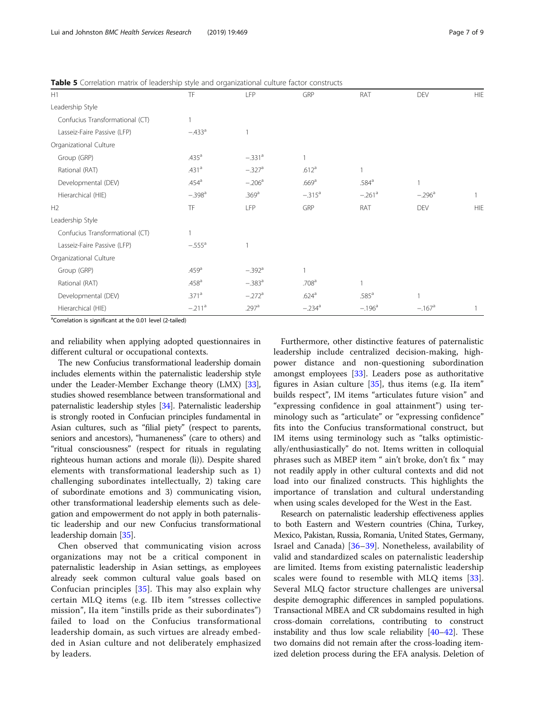| H1                              | TF                | LFP                  | GRP               | RAT               | DEV                  | <b>HIE</b> |
|---------------------------------|-------------------|----------------------|-------------------|-------------------|----------------------|------------|
| Leadership Style                |                   |                      |                   |                   |                      |            |
| Confucius Transformational (CT) |                   |                      |                   |                   |                      |            |
| Lasseiz-Faire Passive (LFP)     | $-.433a$          |                      |                   |                   |                      |            |
| Organizational Culture          |                   |                      |                   |                   |                      |            |
| Group (GRP)                     | .435 <sup>a</sup> | $-.331a$             | 1                 |                   |                      |            |
| Rational (RAT)                  | .431 <sup>a</sup> | $-.327$ <sup>a</sup> | .612 <sup>a</sup> |                   |                      |            |
| Developmental (DEV)             | .454 <sup>a</sup> | $-.206a$             | .669 <sup>a</sup> | .584 <sup>a</sup> | $\mathbf{1}$         |            |
| Hierarchical (HIE)              | $-.398a$          | .369 <sup>a</sup>    | $-.315a$          | $-.261a$          | $-.296a$             |            |
| H <sub>2</sub>                  | TF                | <b>LFP</b>           | GRP               | RAT               | DEV                  | <b>HIE</b> |
| Leadership Style                |                   |                      |                   |                   |                      |            |
| Confucius Transformational (CT) |                   |                      |                   |                   |                      |            |
| Lasseiz-Faire Passive (LFP)     | $-.555^a$         |                      |                   |                   |                      |            |
| Organizational Culture          |                   |                      |                   |                   |                      |            |
| Group (GRP)                     | .459 <sup>a</sup> | $-.392a$             | 1                 |                   |                      |            |
| Rational (RAT)                  | .458 <sup>a</sup> | $-.383a$             | .708 <sup>a</sup> | 1                 |                      |            |
| Developmental (DEV)             | .371 <sup>a</sup> | $-.272$ <sup>a</sup> | .624 <sup>a</sup> | $.585^{\circ}$    | 1                    |            |
| Hierarchical (HIE)              | $-.211a$          | .297a                | $-.234a$          | $-.196a$          | $-.167$ <sup>a</sup> |            |

<span id="page-6-0"></span>**Table 5** Correlation matrix of leadership style and organizational culture factor constructs

<sup>a</sup>Correlation is significant at the 0.01 level (2-tailed)

and reliability when applying adopted questionnaires in different cultural or occupational contexts.

The new Confucius transformational leadership domain includes elements within the paternalistic leadership style under the Leader-Member Exchange theory (LMX) [[33](#page-8-0)], studies showed resemblance between transformational and paternalistic leadership styles [\[34\]](#page-8-0). Paternalistic leadership is strongly rooted in Confucian principles fundamental in Asian cultures, such as "filial piety" (respect to parents, seniors and ancestors), "humaneness" (care to others) and "ritual consciousness" (respect for rituals in regulating righteous human actions and morale (li)). Despite shared elements with transformational leadership such as 1) challenging subordinates intellectually, 2) taking care of subordinate emotions and 3) communicating vision, other transformational leadership elements such as delegation and empowerment do not apply in both paternalistic leadership and our new Confucius transformational leadership domain [\[35\]](#page-8-0).

Chen observed that communicating vision across organizations may not be a critical component in paternalistic leadership in Asian settings, as employees already seek common cultural value goals based on Confucian principles [[35\]](#page-8-0). This may also explain why certain MLQ items (e.g. IIb item "stresses collective mission", IIa item "instills pride as their subordinates") failed to load on the Confucius transformational leadership domain, as such virtues are already embedded in Asian culture and not deliberately emphasized by leaders.

Furthermore, other distinctive features of paternalistic leadership include centralized decision-making, highpower distance and non-questioning subordination amongst employees [[33](#page-8-0)]. Leaders pose as authoritative figures in Asian culture  $[35]$  $[35]$  $[35]$ , thus items (e.g. IIa item" builds respect", IM items "articulates future vision" and "expressing confidence in goal attainment") using terminology such as "articulate" or "expressing confidence" fits into the Confucius transformational construct, but IM items using terminology such as "talks optimistically/enthusiastically" do not. Items written in colloquial phrases such as MBEP item " ain't broke, don't fix " may not readily apply in other cultural contexts and did not load into our finalized constructs. This highlights the importance of translation and cultural understanding when using scales developed for the West in the East.

Research on paternalistic leadership effectiveness applies to both Eastern and Western countries (China, Turkey, Mexico, Pakistan, Russia, Romania, United States, Germany, Israel and Canada) [[36](#page-8-0)–[39\]](#page-8-0). Nonetheless, availability of valid and standardized scales on paternalistic leadership are limited. Items from existing paternalistic leadership scales were found to resemble with MLQ items [\[33](#page-8-0)]. Several MLQ factor structure challenges are universal despite demographic differences in sampled populations. Transactional MBEA and CR subdomains resulted in high cross-domain correlations, contributing to construct instability and thus low scale reliability  $[40-42]$  $[40-42]$  $[40-42]$  $[40-42]$ . These two domains did not remain after the cross-loading itemized deletion process during the EFA analysis. Deletion of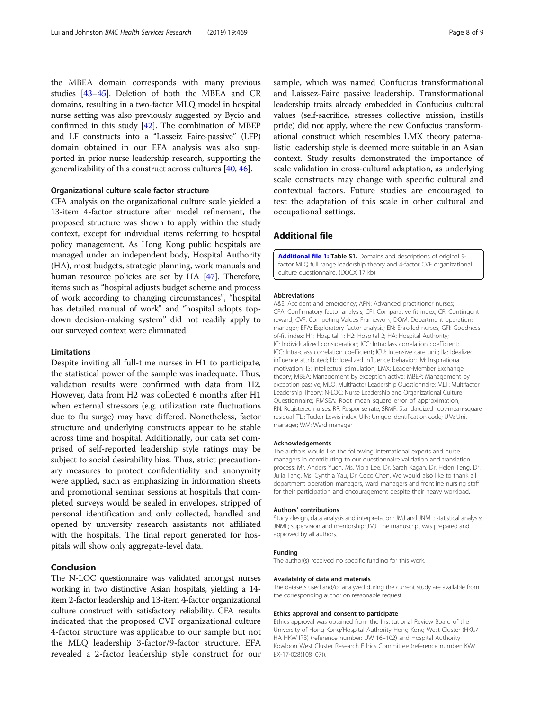<span id="page-7-0"></span>the MBEA domain corresponds with many previous studies [\[43](#page-8-0)–[45](#page-8-0)]. Deletion of both the MBEA and CR domains, resulting in a two-factor MLQ model in hospital nurse setting was also previously suggested by Bycio and confirmed in this study [\[42\]](#page-8-0). The combination of MBEP and LF constructs into a "Lasseiz Faire-passive" (LFP) domain obtained in our EFA analysis was also supported in prior nurse leadership research, supporting the generalizability of this construct across cultures [[40,](#page-8-0) [46\]](#page-8-0).

#### Organizational culture scale factor structure

CFA analysis on the organizational culture scale yielded a 13-item 4-factor structure after model refinement, the proposed structure was shown to apply within the study context, except for individual items referring to hospital policy management. As Hong Kong public hospitals are managed under an independent body, Hospital Authority (HA), most budgets, strategic planning, work manuals and human resource policies are set by HA [[47](#page-8-0)]. Therefore, items such as "hospital adjusts budget scheme and process of work according to changing circumstances", "hospital has detailed manual of work" and "hospital adopts topdown decision-making system" did not readily apply to our surveyed context were eliminated.

#### Limitations

Despite inviting all full-time nurses in H1 to participate, the statistical power of the sample was inadequate. Thus, validation results were confirmed with data from H2. However, data from H2 was collected 6 months after H1 when external stressors (e.g. utilization rate fluctuations due to flu surge) may have differed. Nonetheless, factor structure and underlying constructs appear to be stable across time and hospital. Additionally, our data set comprised of self-reported leadership style ratings may be subject to social desirability bias. Thus, strict precautionary measures to protect confidentiality and anonymity were applied, such as emphasizing in information sheets and promotional seminar sessions at hospitals that completed surveys would be sealed in envelopes, stripped of personal identification and only collected, handled and opened by university research assistants not affiliated with the hospitals. The final report generated for hospitals will show only aggregate-level data.

# Conclusion

The N-LOC questionnaire was validated amongst nurses working in two distinctive Asian hospitals, yielding a 14 item 2-factor leadership and 13-item 4-factor organizational culture construct with satisfactory reliability. CFA results indicated that the proposed CVF organizational culture 4-factor structure was applicable to our sample but not the MLQ leadership 3-factor/9-factor structure. EFA revealed a 2-factor leadership style construct for our

sample, which was named Confucius transformational and Laissez-Faire passive leadership. Transformational leadership traits already embedded in Confucius cultural values (self-sacrifice, stresses collective mission, instills pride) did not apply, where the new Confucius transformational construct which resembles LMX theory paternalistic leadership style is deemed more suitable in an Asian context. Study results demonstrated the importance of scale validation in cross-cultural adaptation, as underlying scale constructs may change with specific cultural and contextual factors. Future studies are encouraged to test the adaptation of this scale in other cultural and occupational settings.

# Additional file

[Additional file 1:](https://doi.org/10.1186/s12913-019-4290-z) Table S1. Domains and descriptions of original 9factor MLQ full range leadership theory and 4-factor CVF organizational culture questionnaire. (DOCX 17 kb)

#### Abbreviations

A&E: Accident and emergency; APN: Advanced practitioner nurses; CFA: Confirmatory factor analysis; CFI: Comparative fit index; CR: Contingent reward; CVF: Competing Values Framework; DOM: Department operations manager; EFA: Exploratory factor analysis; EN: Enrolled nurses; GFI: Goodnessof-fit index; H1: Hospital 1; H2: Hospital 2; HA: Hospital Authority; IC: Individualized consideration; ICC: Intraclass correlation coefficient; ICC: Intra-class correlation coefficient; ICU: Intensive care unit; IIa: Idealized influence attributed; IIb: Idealized influence behavior; IM: Inspirational motivation; IS: Intellectual stimulation; LMX: Leader-Member Exchange theory; MBEA: Management by exception active; MBEP: Management by exception passive; MLQ: Multifactor Leadership Questionnaire; MLT: Multifactor Leadership Theory; N-LOC: Nurse Leadership and Organizational Culture Questionnaire; RMSEA: Root mean square error of approximation; RN: Registered nurses; RR: Response rate; SRMR: Standardized root-mean-square residual; TLI: Tucker-Lewis index; UIN: Unique identification code; UM: Unit manager; WM: Ward manager

#### Acknowledgements

The authors would like the following international experts and nurse managers in contributing to our questionnaire validation and translation process: Mr. Anders Yuen, Ms. Viola Lee, Dr. Sarah Kagan, Dr. Helen Teng, Dr. Julia Tang, Ms. Cynthia Yau, Dr. Coco Chen. We would also like to thank all department operation managers, ward managers and frontline nursing staff for their participation and encouragement despite their heavy workload.

#### Authors' contributions

Study design, data analysis and interpretation: JMJ and JNML; statistical analysis: JNML; supervision and mentorship: JMJ. The manuscript was prepared and approved by all authors.

#### Funding

The author(s) received no specific funding for this work.

#### Availability of data and materials

The datasets used and/or analyzed during the current study are available from the corresponding author on reasonable request.

#### Ethics approval and consent to participate

Ethics approval was obtained from the Institutional Review Board of the University of Hong Kong/Hospital Authority Hong Kong West Cluster (HKU/ HA HKW IRB) (reference number: UW 16–102) and Hospital Authority Kowloon West Cluster Research Ethics Committee (reference number: KW/ EX-17-028(108–07)).